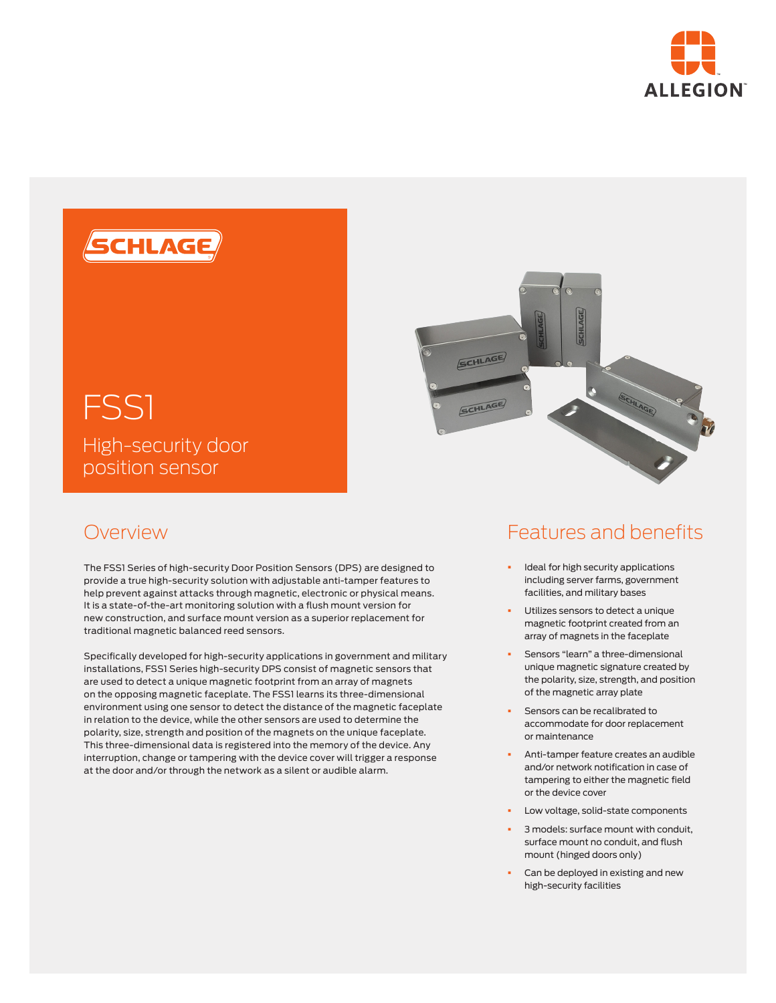



High-security door

position sensor

## SCHLAGE SCHLAGE) SCHLAGE

## Overview

FSS1

The FSS1 Series of high-security Door Position Sensors (DPS) are designed to provide a true high-security solution with adjustable anti-tamper features to help prevent against attacks through magnetic, electronic or physical means. It is a state-of-the-art monitoring solution with a flush mount version for new construction, and surface mount version as a superior replacement for traditional magnetic balanced reed sensors.

Specifically developed for high-security applications in government and military installations, FSS1 Series high-security DPS consist of magnetic sensors that are used to detect a unique magnetic footprint from an array of magnets on the opposing magnetic faceplate. The FSS1 learns its three-dimensional environment using one sensor to detect the distance of the magnetic faceplate in relation to the device, while the other sensors are used to determine the polarity, size, strength and position of the magnets on the unique faceplate. This three-dimensional data is registered into the memory of the device. Any interruption, change or tampering with the device cover will trigger a response at the door and/or through the network as a silent or audible alarm.

## Features and benefits

- Ideal for high security applications including server farms, government facilities, and military bases
- Utilizes sensors to detect a unique magnetic footprint created from an array of magnets in the faceplate
- Sensors "learn" a three-dimensional unique magnetic signature created by the polarity, size, strength, and position of the magnetic array plate
- Sensors can be recalibrated to accommodate for door replacement or maintenance
- § Anti-tamper feature creates an audible and/or network notification in case of tampering to either the magnetic field or the device cover
- Low voltage, solid-state components
- § 3 models: surface mount with conduit, surface mount no conduit, and flush mount (hinged doors only)
- Can be deployed in existing and new high-security facilities